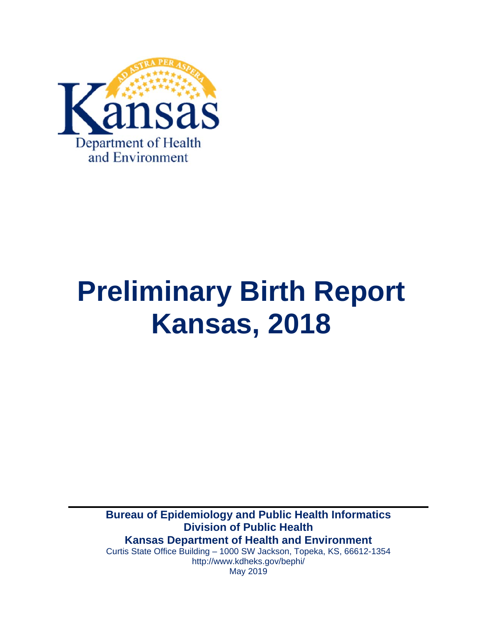

# **Preliminary Birth Report Kansas, 2018**

**Bureau of Epidemiology and Public Health Informatics Division of Public Health Kansas Department of Health and Environment** Curtis State Office Building – 1000 SW Jackson, Topeka, KS, 66612-1354 http://www.kdheks.gov/bephi/

May 2019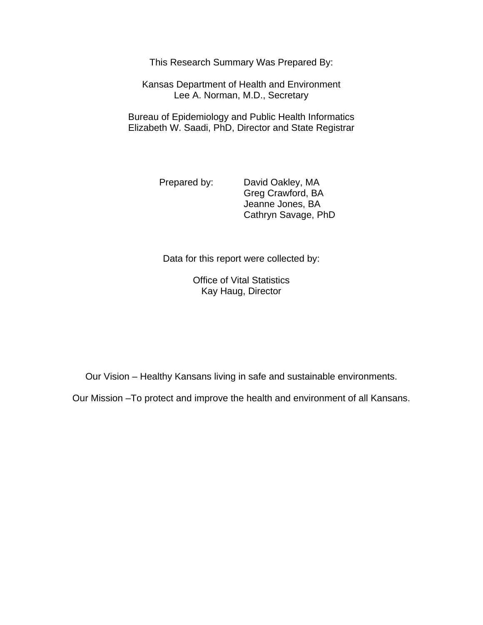This Research Summary Was Prepared By:

Kansas Department of Health and Environment Lee A. Norman, M.D., Secretary

Bureau of Epidemiology and Public Health Informatics Elizabeth W. Saadi, PhD, Director and State Registrar

Prepared by: David Oakley, MA Greg Crawford, BA Jeanne Jones, BA Cathryn Savage, PhD

Data for this report were collected by:

Office of Vital Statistics Kay Haug, Director

Our Vision – Healthy Kansans living in safe and sustainable environments.

Our Mission –To protect and improve the health and environment of all Kansans.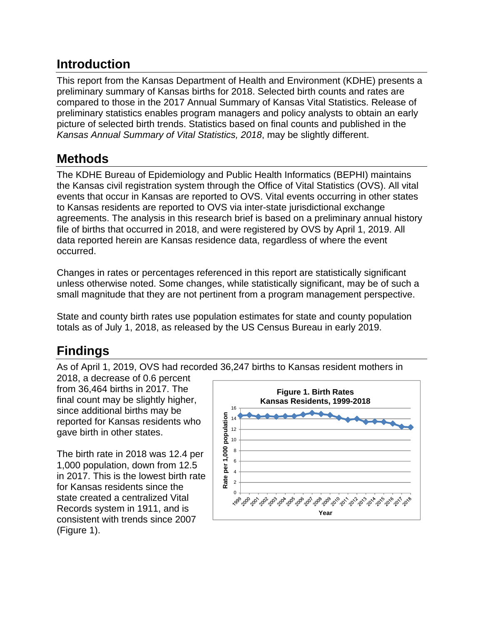### **Introduction**

This report from the Kansas Department of Health and Environment (KDHE) presents a preliminary summary of Kansas births for 2018. Selected birth counts and rates are compared to those in the 2017 Annual Summary of Kansas Vital Statistics. Release of preliminary statistics enables program managers and policy analysts to obtain an early picture of selected birth trends. Statistics based on final counts and published in the *Kansas Annual Summary of Vital Statistics, 2018*, may be slightly different.

## **Methods**

The KDHE Bureau of Epidemiology and Public Health Informatics (BEPHI) maintains the Kansas civil registration system through the Office of Vital Statistics (OVS). All vital events that occur in Kansas are reported to OVS. Vital events occurring in other states to Kansas residents are reported to OVS via inter-state jurisdictional exchange agreements. The analysis in this research brief is based on a preliminary annual history file of births that occurred in 2018, and were registered by OVS by April 1, 2019. All data reported herein are Kansas residence data, regardless of where the event occurred.

Changes in rates or percentages referenced in this report are statistically significant unless otherwise noted. Some changes, while statistically significant, may be of such a small magnitude that they are not pertinent from a program management perspective.

State and county birth rates use population estimates for state and county population totals as of July 1, 2018, as released by the US Census Bureau in early 2019.

## **Findings**

As of April 1, 2019, OVS had recorded 36,247 births to Kansas resident mothers in

2018, a decrease of 0.6 percent from 36,464 births in 2017. The final count may be slightly higher, since additional births may be reported for Kansas residents who gave birth in other states.

The birth rate in 2018 was 12.4 per 1,000 population, down from 12.5 in 2017. This is the lowest birth rate for Kansas residents since the state created a centralized Vital Records system in 1911, and is consistent with trends since 2007 (Figure 1).

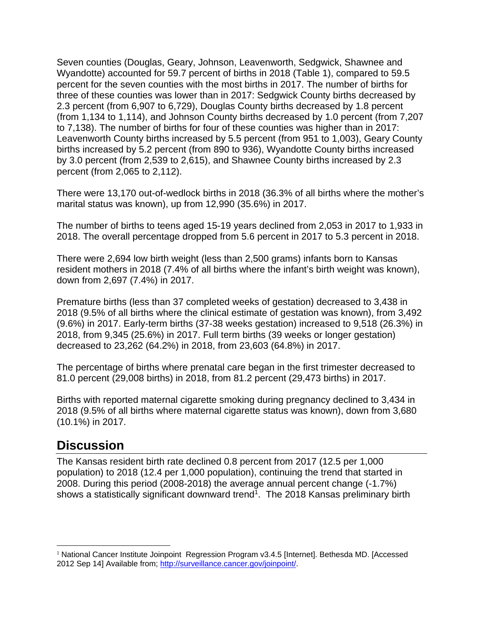Seven counties (Douglas, Geary, Johnson, Leavenworth, Sedgwick, Shawnee and Wyandotte) accounted for 59.7 percent of births in 2018 (Table 1), compared to 59.5 percent for the seven counties with the most births in 2017. The number of births for three of these counties was lower than in 2017: Sedgwick County births decreased by 2.3 percent (from 6,907 to 6,729), Douglas County births decreased by 1.8 percent (from 1,134 to 1,114), and Johnson County births decreased by 1.0 percent (from 7,207 to 7,138). The number of births for four of these counties was higher than in 2017: Leavenworth County births increased by 5.5 percent (from 951 to 1,003), Geary County births increased by 5.2 percent (from 890 to 936), Wyandotte County births increased by 3.0 percent (from 2,539 to 2,615), and Shawnee County births increased by 2.3 percent (from 2,065 to 2,112).

There were 13,170 out-of-wedlock births in 2018 (36.3% of all births where the mother's marital status was known), up from 12,990 (35.6%) in 2017.

The number of births to teens aged 15-19 years declined from 2,053 in 2017 to 1,933 in 2018. The overall percentage dropped from 5.6 percent in 2017 to 5.3 percent in 2018.

There were 2,694 low birth weight (less than 2,500 grams) infants born to Kansas resident mothers in 2018 (7.4% of all births where the infant's birth weight was known), down from 2,697 (7.4%) in 2017.

Premature births (less than 37 completed weeks of gestation) decreased to 3,438 in 2018 (9.5% of all births where the clinical estimate of gestation was known), from 3,492 (9.6%) in 2017. Early-term births (37-38 weeks gestation) increased to 9,518 (26.3%) in 2018, from 9,345 (25.6%) in 2017. Full term births (39 weeks or longer gestation) decreased to 23,262 (64.2%) in 2018, from 23,603 (64.8%) in 2017.

The percentage of births where prenatal care began in the first trimester decreased to 81.0 percent (29,008 births) in 2018, from 81.2 percent (29,473 births) in 2017.

Births with reported maternal cigarette smoking during pregnancy declined to 3,434 in 2018 (9.5% of all births where maternal cigarette status was known), down from 3,680 (10.1%) in 2017.

#### **Discussion**

 $\overline{a}$ 

The Kansas resident birth rate declined 0.8 percent from 2017 (12.5 per 1,000 population) to 2018 (12.4 per 1,000 population), continuing the trend that started in 2008. During this period (2008-2018) the average annual percent change (-1.7%) shows a statistically significant downward trend<sup>1</sup>. The 2018 Kansas preliminary birth

<sup>1</sup> National Cancer Institute Joinpoint Regression Program v3.4.5 [Internet]. Bethesda MD. [Accessed 2012 Sep 14] Available from; http://surveillance.cancer.gov/joinpoint/.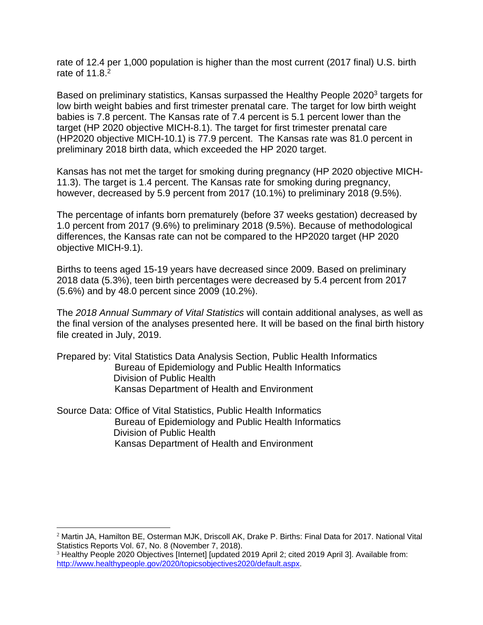rate of 12.4 per 1,000 population is higher than the most current (2017 final) U.S. birth rate of 11.8.<sup>2</sup>

Based on preliminary statistics, Kansas surpassed the Healthy People 20203 targets for low birth weight babies and first trimester prenatal care. The target for low birth weight babies is 7.8 percent. The Kansas rate of 7.4 percent is 5.1 percent lower than the target (HP 2020 objective MICH-8.1). The target for first trimester prenatal care (HP2020 objective MICH-10.1) is 77.9 percent. The Kansas rate was 81.0 percent in preliminary 2018 birth data, which exceeded the HP 2020 target.

Kansas has not met the target for smoking during pregnancy (HP 2020 objective MICH-11.3). The target is 1.4 percent. The Kansas rate for smoking during pregnancy, however, decreased by 5.9 percent from 2017 (10.1%) to preliminary 2018 (9.5%).

The percentage of infants born prematurely (before 37 weeks gestation) decreased by 1.0 percent from 2017 (9.6%) to preliminary 2018 (9.5%). Because of methodological differences, the Kansas rate can not be compared to the HP2020 target (HP 2020 objective MICH-9.1).

Births to teens aged 15-19 years have decreased since 2009. Based on preliminary 2018 data (5.3%), teen birth percentages were decreased by 5.4 percent from 2017 (5.6%) and by 48.0 percent since 2009 (10.2%).

The *2018 Annual Summary of Vital Statistics* will contain additional analyses, as well as the final version of the analyses presented here. It will be based on the final birth history file created in July, 2019.

- Prepared by: Vital Statistics Data Analysis Section, Public Health Informatics Bureau of Epidemiology and Public Health Informatics Division of Public Health Kansas Department of Health and Environment
- Source Data: Office of Vital Statistics, Public Health Informatics Bureau of Epidemiology and Public Health Informatics Division of Public Health Kansas Department of Health and Environment

1

<sup>2</sup> Martin JA, Hamilton BE, Osterman MJK, Driscoll AK, Drake P. Births: Final Data for 2017. National Vital Statistics Reports Vol. 67, No. 8 (November 7, 2018).

<sup>&</sup>lt;sup>3</sup> Healthy People 2020 Objectives [Internet] [updated 2019 April 2; cited 2019 April 3]. Available from: http://www.healthypeople.gov/2020/topicsobjectives2020/default.aspx.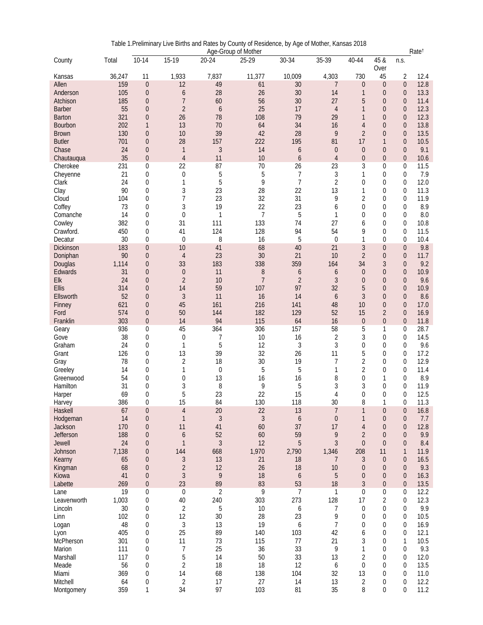|                  | Age-Group of Mother |                |                  |                |                |                  |                  | Rate <sup>t</sup> |                  |                  |      |
|------------------|---------------------|----------------|------------------|----------------|----------------|------------------|------------------|-------------------|------------------|------------------|------|
| County           | Total               | $10-14$        | 15-19            | 20-24          | 25-29          | 30-34            | 35-39            | 40-44             | 45 &             | n.s.             |      |
|                  |                     |                |                  |                |                |                  |                  |                   | Over             |                  |      |
| Kansas           | 36,247              | 11             | 1,933            | 7,837          | 11,377         | 10,009           | 4,303            | 730               | 45               | 2                | 12.4 |
| Allen            | 159                 | $\overline{0}$ | 12               | 49             | 61             | 30               | 7                | $\theta$          | $\overline{0}$   | $\overline{0}$   | 12.8 |
| Anderson         | 105                 | $\overline{0}$ | 6                | 28             | 26             | 30               | 14               | $\mathbf{1}$      | $\theta$         | $\theta$         | 13.3 |
| Atchison         | 185                 | $\overline{0}$ | $\overline{7}$   | 60             | 56             | 30               | 27               | 5                 | $\theta$         | $\theta$         | 11.4 |
| <b>Barber</b>    | 55                  | $\overline{0}$ | $\overline{2}$   | 6              | 25             | 17               | $\overline{4}$   | $\mathbf{1}$      | $\overline{0}$   | $\theta$         | 12.3 |
| <b>Barton</b>    | 321                 | $\overline{0}$ | 26               | 78             | 108            | 79               | 29               | $\mathbf{1}$      | $\overline{0}$   | $\theta$         | 12.3 |
| Bourbon          | 202                 | $\mathbf{1}$   | 13               | 70             | 64             | 34               | 16               | $\overline{4}$    | $\overline{0}$   | $\theta$         | 13.8 |
| <b>Brown</b>     | 130                 | $\overline{0}$ | 10               | 39             | 42             | 28               | 9                | $\overline{2}$    | $\mathbf{0}$     | $\theta$         | 13.5 |
| <b>Butler</b>    | 701                 | $\overline{0}$ | 28               | 157            | 222            | 195              | 81               | 17                | $\mathbf{1}$     | $\theta$         | 10.5 |
| Chase            | 24                  | $\overline{0}$ | 1                | $\mathfrak{Z}$ | 14             | 6                | $\mathbf{0}$     | $\overline{0}$    | $\overline{0}$   | $\theta$         | 9.1  |
| Chautauqua       | 35                  | $\overline{0}$ | $\overline{4}$   | 11             | 10             | $\boldsymbol{6}$ | $\overline{4}$   | $\mathbf{0}$      | $\overline{0}$   | $\theta$         | 10.6 |
| Cherokee         | 231                 | 0              | 22               | 87             | 70             | 26               | 23               | 3                 | $\mathbf 0$      | $\mathbf{0}$     | 11.5 |
|                  | 21                  | 0              |                  |                |                | 7                |                  | 1                 | $\mathbf 0$      | $\mathbf 0$      | 7.9  |
| Cheyenne         |                     |                | $\boldsymbol{0}$ | 5              | 5              |                  | $\sqrt{3}$       |                   |                  |                  |      |
| Clark            | 24                  | 0              | $\mathbf{1}$     | 5              | 9              | $\overline{7}$   | $\overline{2}$   | $\overline{0}$    | $\mathbf 0$      | $\mathbf 0$      | 12.0 |
| Clay             | 90                  | 0              | 3                | 23             | 28             | 22               | 13               | 1                 | $\mathbf 0$      | $\boldsymbol{0}$ | 11.3 |
| Cloud            | 104                 | 0              | 7                | 23             | 32             | 31               | 9                | 2                 | $\mathbf 0$      | $\mathbf 0$      | 11.9 |
| Coffey           | 73                  | 0              | 3                | 19             | 22             | 23               | 6                | $\theta$          | $\Omega$         | $\mathbf 0$      | 8.9  |
| Comanche         | 14                  | 0              | $\boldsymbol{0}$ | $\mathbf{1}$   | 7              | 5                | $\mathbf{1}$     | 0                 | $\mathbf 0$      | $\boldsymbol{0}$ | 8.0  |
| Cowley           | 382                 | 0              | 31               | 111            | 133            | 74               | 27               | 6                 | $\mathbf 0$      | $\boldsymbol{0}$ | 10.8 |
| Crawford.        | 450                 | 0              | 41               | 124            | 128            | 94               | 54               | 9                 | $\mathbf 0$      | $\mathbf 0$      | 11.5 |
| Decatur          | 30                  | 0              | $\overline{0}$   | 8              | 16             | 5                | $\overline{0}$   | 1                 | $\mathbf 0$      | $\overline{0}$   | 10.4 |
| <b>Dickinson</b> | 183                 | $\overline{0}$ | 10               | 41             | 68             | 40               | 21               | $\mathfrak{Z}$    | $\theta$         | $\theta$         | 9.8  |
| Doniphan         | 90                  | $\overline{0}$ | $\overline{4}$   | 23             | 30             | 21               | 10               | $\overline{2}$    | $\mathbf 0$      | $\theta$         | 11.7 |
| Douglas          | 1,114               | $\overline{0}$ | 33               | 183            | 338            | 359              | 164              | 34                | 3                | $\theta$         | 9.2  |
| Edwards          | 31                  | $\overline{0}$ | $\boldsymbol{0}$ | 11             | 8              | 6                | 6                | $\overline{0}$    | $\overline{0}$   | $\theta$         | 10.9 |
| Elk              | 24                  | $\overline{0}$ | $\overline{2}$   | 10             | $\overline{7}$ | $\overline{2}$   | $\mathfrak{Z}$   | $\mathbf{0}$      | $\mathbf{0}$     | $\theta$         | 9.6  |
| Ellis            | 314                 | $\overline{0}$ | 14               | 59             | 107            | 97               | 32               | 5                 | $\theta$         | $\theta$         | 10.9 |
| Ellsworth        | 52                  | $\Omega$       | $\overline{3}$   | 11             | 16             | 14               | 6                | 3                 | $\overline{0}$   | $\theta$         | 8.6  |
| Finney           | 621                 | $\overline{0}$ | 45               | 161            | 216            | 141              | 48               | 10                | $\overline{0}$   | $\theta$         | 17.0 |
| Ford             | 574                 | $\overline{0}$ | 50               | 144            | 182            | 129              | 52               | 15                | $\overline{2}$   | $\theta$         | 16.9 |
| Franklin         | 303                 | $\overline{0}$ | 14               | 94             | 115            | 64               | 16               | $\theta$          | $\theta$         | $\boldsymbol{0}$ | 11.8 |
| Geary            | 936                 | 0              | 45               | 364            | 306            | 157              | 58               | 5                 | 1                | 0                | 28.7 |
| Gove             | 38                  | 0              | 0                | 7              | 10             | 16               | $\overline{2}$   | 3                 | 0                | $\boldsymbol{0}$ | 14.5 |
| Graham           | 24                  | 0              | 1                | 5              | 12             | 3                | 3                | 0                 | $\mathbf 0$      | $\boldsymbol{0}$ | 9.6  |
| Grant            | 126                 | 0              | 13               | 39             | 32             | 26               | 11               | 5                 | $\theta$         | $\mathbf 0$      | 17.2 |
| Gray             | 78                  | 0              | $\overline{2}$   | 18             | 30             | 19               | 7                | $\overline{2}$    | $\mathbf 0$      | $\boldsymbol{0}$ | 12.9 |
| Greeley          | 14                  | 0              | 1                | 0              | 5              | 5                | $\mathbf{1}$     | $\overline{2}$    | $\mathbf 0$      | $\mathbf 0$      | 11.4 |
| Greenwood        | 54                  | 0              | 0                | 13             | 16             | 16               | 8                | $\boldsymbol{0}$  | 1                | $\mathbf 0$      | 8.9  |
| Hamilton         | 31                  | $\Omega$       | 3                | 8              | 9              | 5                | 3                | 3                 | $\mathbf 0$      | $\mathbf 0$      | 11.9 |
|                  |                     |                | 5                | 23             | 22             | 15               |                  |                   |                  |                  |      |
| Harper           | 69                  | 0              |                  |                |                |                  | 4                | $\overline{0}$    | $\mathbf 0$      | $\mathbf 0$      | 12.5 |
| Harvey           | 386                 | 0              | 15               | 84             | 130            | 118              | 30               | 8                 | 1                | 0                | 11.3 |
| Haskell          | 67                  | $\mathbf{0}$   | $\overline{4}$   | 20             | 22             | 13               | $\overline{7}$   | $\mathbf{1}$      | $\boldsymbol{0}$ | $\theta$         | 16.8 |
| Hodgeman         | 14                  | 0              | 1                | $\mathfrak{Z}$ | $\mathfrak{Z}$ | $\boldsymbol{6}$ | $\boldsymbol{0}$ | 1                 | $\theta$         | $\theta$         | 7.7  |
| Jackson          | 170                 | $\overline{0}$ | 11               | 41             | 60             | 37               | 17               | $\overline{4}$    | $\mathbf{0}$     | $\theta$         | 12.8 |
| Jefferson        | 188                 | $\overline{0}$ | 6                | 52             | 60             | 59               | 9                | $\overline{2}$    | $\theta$         | $\theta$         | 9.9  |
| Jewell           | 24                  | $\Omega$       | $\mathbf{1}$     | $\mathfrak{Z}$ | 12             | 5                | 3                | $\overline{0}$    | $\overline{0}$   | $\theta$         | 8.4  |
| Johnson          | 7,138               | $\overline{0}$ | 144              | 668            | 1,970          | 2,790            | 1,346            | 208               | 11               | $\mathbf{1}$     | 11.9 |
| Kearny           | 65                  | $\overline{0}$ | $\mathfrak{Z}$   | 13             | 21             | 18               | 7                | 3                 | $\overline{0}$   | $\theta$         | 16.5 |
| Kingman          | 68                  | $\overline{0}$ | $\overline{c}$   | 12             | 26             | 18               | 10               | $\mathbf{0}$      | $\theta$         | $\theta$         | 9.3  |
| Kiowa            | 41                  | $\overline{0}$ | $\mathfrak{Z}$   | 9              | 18             | 6                | 5                | $\overline{0}$    | $\theta$         | $\theta$         | 16.3 |
| Labette          | 269                 | $\mathbf 0$    | 23               | 89             | 83             | 53               | 18               | $\mathfrak{Z}$    | $\theta$         | $\theta$         | 13.5 |
| Lane             | 19                  | 0              | 0                | 2              | 9              | 7                | 1                | 0                 | 0                | 0                | 12.2 |
| Leavenworth      | 1,003               | 0              | 40               | 240            | 303            | 273              | 128              | 17                | 2                | $\boldsymbol{0}$ | 12.3 |
| Lincoln          | 30                  | 0              | $\sqrt{2}$       | 5              | 10             | 6                | $\overline{7}$   | $\boldsymbol{0}$  | 0                | $\pmb{0}$        | 9.9  |
| Linn             | 102                 | 0              | 12               | 30             | 28             | 23               | 9                | $\boldsymbol{0}$  | $\mathbf 0$      | $\boldsymbol{0}$ | 10.5 |
| Logan            | 48                  | 0              | $\mathfrak{Z}$   | 13             | 19             | 6                | $\overline{7}$   | $\overline{0}$    | 0                | $\mathbf 0$      | 16.9 |
| Lyon             | 405                 | 0              | 25               | 89             | 140            | 103              | 42               | 6                 | $\mathbf 0$      | $\boldsymbol{0}$ | 12.1 |
| McPherson        | 301                 | 0              | 11               | 73             | 115            | 77               | 21               | 3                 | 0                | 1                | 10.5 |
| Marion           | 111                 | 0              | 7                | 25             | 36             | 33               | 9                | 1                 | $\mathbf 0$      | $\boldsymbol{0}$ | 9.3  |
| Marshall         | 117                 | 0              | 5                | 14             | 50             | 33               | 13               | $\overline{2}$    | $\mathbf 0$      | $\boldsymbol{0}$ | 12.0 |
| Meade            | 56                  | 0              | $\overline{2}$   | 18             | 18             | 12               | 6                | 0                 | $\mathbf 0$      | $\boldsymbol{0}$ | 13.5 |
| Miami            | 369                 | 0              | 14               | 68             | 138            | 104              | 32               | 13                | 0                | $\boldsymbol{0}$ | 11.0 |
| Mitchell         | 64                  | 0              | $\sqrt{2}$       | 17             | 27             | 14               | 13               | 2                 | 0                | 0                | 12.2 |
| Montgomery       | 359                 | 1              | 34               | 97             | 103            | 81               | 35               | 8                 | 0                | 0                | 11.2 |
|                  |                     |                |                  |                |                |                  |                  |                   |                  |                  |      |

Table 1.Preliminary Live Births and Rates by County of Residence, by Age of Mother, Kansas 2018